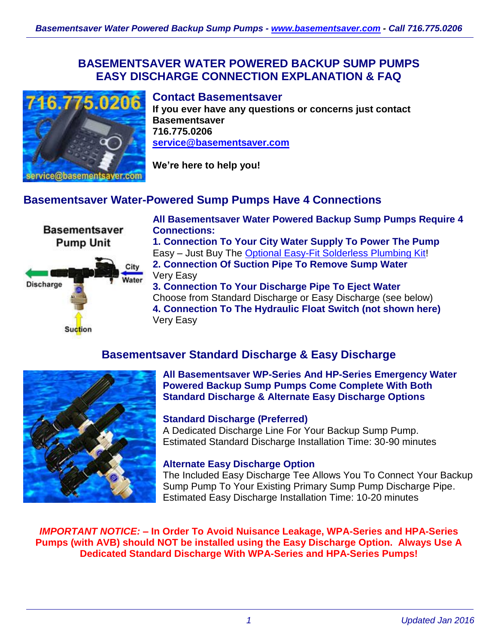### **BASEMENTSAVER WATER POWERED BACKUP SUMP PUMPS EASY DISCHARGE CONNECTION EXPLANATION & FAQ**



#### **Contact Basementsaver**

**If you ever have any questions or concerns just contact Basementsaver 716.775.0206 [service@basementsaver.com](mailto:service@basementsaver.com)**

**We're here to help you!**

## **Basementsaver Water-Powered Sump Pumps Have 4 Connections**

**Basementsaver Pump Unit** 



**All Basementsaver Water Powered Backup Sump Pumps Require 4 Connections:**

**1. Connection To Your City Water Supply To Power The Pump** Easy – Just Buy The [Optional Easy-Fit Solderless Plumbing Kit!](http://www.1stflash.com/files/WP-Backup-Pump-Fitting-Kit-Installation.pdf) **2. Connection Of Suction Pipe To Remove Sump Water** Very Easy

**3. Connection To Your Discharge Pipe To Eject Water** Choose from Standard Discharge or Easy Discharge (see below) **4. Connection To The Hydraulic Float Switch (not shown here)** Very Easy

# **Basementsaver Standard Discharge & Easy Discharge**



#### **All Basementsaver WP-Series And HP-Series Emergency Water Powered Backup Sump Pumps Come Complete With Both Standard Discharge & Alternate Easy Discharge Options**

#### **Standard Discharge (Preferred)**

A Dedicated Discharge Line For Your Backup Sump Pump. Estimated Standard Discharge Installation Time: 30-90 minutes

#### **Alternate Easy Discharge Option**

The Included Easy Discharge Tee Allows You To Connect Your Backup Sump Pump To Your Existing Primary Sump Pump Discharge Pipe. Estimated Easy Discharge Installation Time: 10-20 minutes

*IMPORTANT NOTICE:* **– In Order To Avoid Nuisance Leakage, WPA-Series and HPA-Series Pumps (with AVB) should NOT be installed using the Easy Discharge Option. Always Use A Dedicated Standard Discharge With WPA-Series and HPA-Series Pumps!**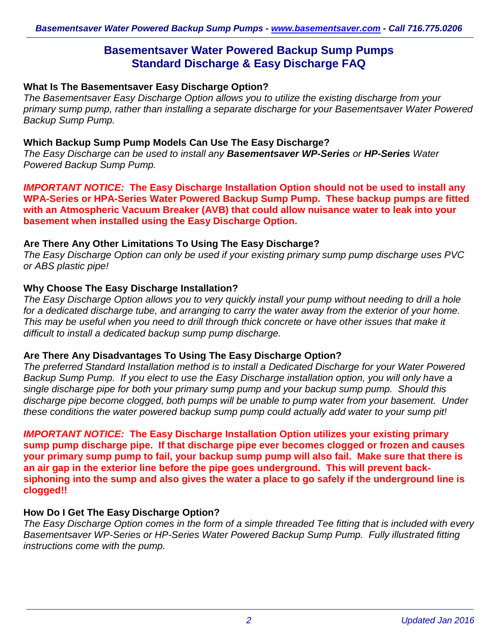## **Basementsaver Water Powered Backup Sump Pumps Standard Discharge & Easy Discharge FAQ**

#### **What Is The Basementsaver Easy Discharge Option?**

*The Basementsaver Easy Discharge Option allows you to utilize the existing discharge from your primary sump pump, rather than installing a separate discharge for your Basementsaver Water Powered Backup Sump Pump.*

#### **Which Backup Sump Pump Models Can Use The Easy Discharge?**

*The Easy Discharge can be used to install any Basementsaver WP-Series or HP-Series Water Powered Backup Sump Pump.*

*IMPORTANT NOTICE:* **The Easy Discharge Installation Option should not be used to install any WPA-Series or HPA-Series Water Powered Backup Sump Pump. These backup pumps are fitted with an Atmospheric Vacuum Breaker (AVB) that could allow nuisance water to leak into your basement when installed using the Easy Discharge Option.**

#### **Are There Any Other Limitations To Using The Easy Discharge?**

*The Easy Discharge Option can only be used if your existing primary sump pump discharge uses PVC or ABS plastic pipe!*

#### **Why Choose The Easy Discharge Installation?**

*The Easy Discharge Option allows you to very quickly install your pump without needing to drill a hole for a dedicated discharge tube, and arranging to carry the water away from the exterior of your home. This may be useful when you need to drill through thick concrete or have other issues that make it difficult to install a dedicated backup sump pump discharge.*

#### **Are There Any Disadvantages To Using The Easy Discharge Option?**

*The preferred Standard Installation method is to install a Dedicated Discharge for your Water Powered Backup Sump Pump. If you elect to use the Easy Discharge installation option, you will only have a single discharge pipe for both your primary sump pump and your backup sump pump. Should this discharge pipe become clogged, both pumps will be unable to pump water from your basement. Under these conditions the water powered backup sump pump could actually add water to your sump pit!*

*IMPORTANT NOTICE:* **The Easy Discharge Installation Option utilizes your existing primary sump pump discharge pipe. If that discharge pipe ever becomes clogged or frozen and causes your primary sump pump to fail, your backup sump pump will also fail. Make sure that there is an air gap in the exterior line before the pipe goes underground. This will prevent backsiphoning into the sump and also gives the water a place to go safely if the underground line is clogged!!**

### **How Do I Get The Easy Discharge Option?**

*The Easy Discharge Option comes in the form of a simple threaded Tee fitting that is included with every Basementsaver WP-Series or HP-Series Water Powered Backup Sump Pump. Fully illustrated fitting instructions come with the pump.*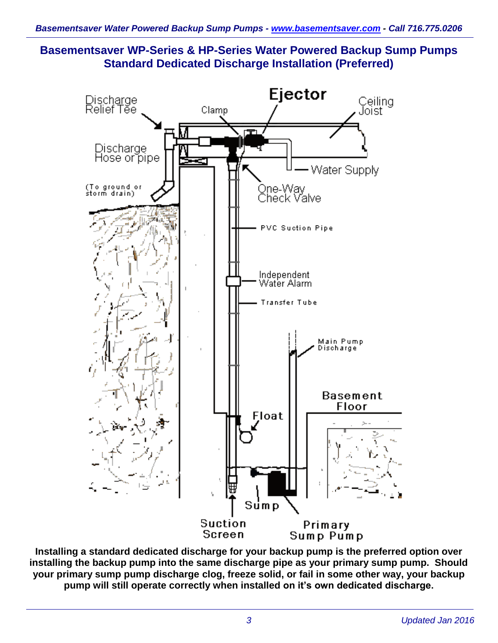**Basementsaver WP-Series & HP-Series Water Powered Backup Sump Pumps Standard Dedicated Discharge Installation (Preferred)**



**Installing a standard dedicated discharge for your backup pump is the preferred option over installing the backup pump into the same discharge pipe as your primary sump pump. Should your primary sump pump discharge clog, freeze solid, or fail in some other way, your backup pump will still operate correctly when installed on it's own dedicated discharge.**